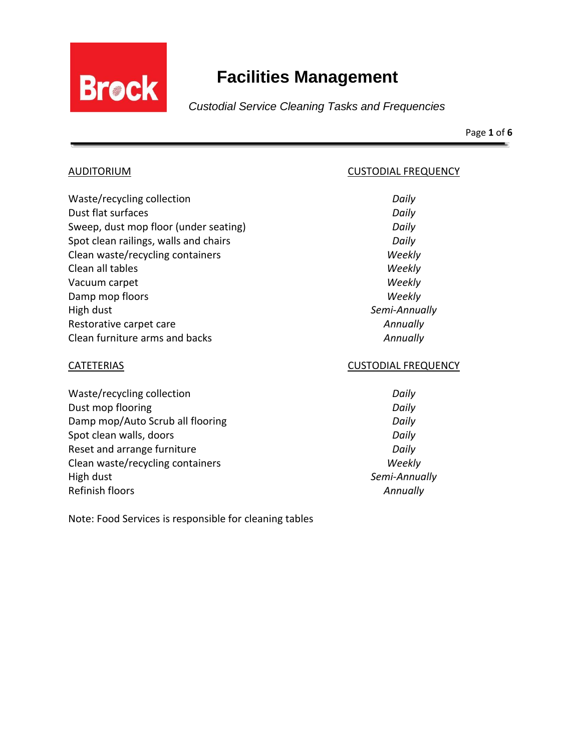

Page **1** of **6**

AUDITORIUM CUSTODIAL FREQUENCY

| Waste/recycling collection            | Daily      |
|---------------------------------------|------------|
| Dust flat surfaces                    | Daily      |
| Sweep, dust mop floor (under seating) | Daily      |
| Spot clean railings, walls and chairs | Daily      |
| Clean waste/recycling containers      | Weekly     |
| Clean all tables                      | Weekly     |
| Vacuum carpet                         | Weekly     |
| Damp mop floors                       | Weekly     |
| High dust                             | Semi-Annua |
| Restorative carpet care               | Annually   |
| Clean furniture arms and backs        | Annually   |

Waste/recycling collection *Daily* Dust mop flooring **Daily Daily Daily** Damp mop/Auto Scrub all flooring **Daily** *Daily* Spot clean walls, doors *Daily* Reset and arrange furniture *Daily* Clean waste/recycling containers *Weekly* High dust *Semi-Annually* Refinish floors *Annually*

## CATETERIAS CUSTODIAL FREQUENCY

Semi-Annually

Note: Food Services is responsible for cleaning tables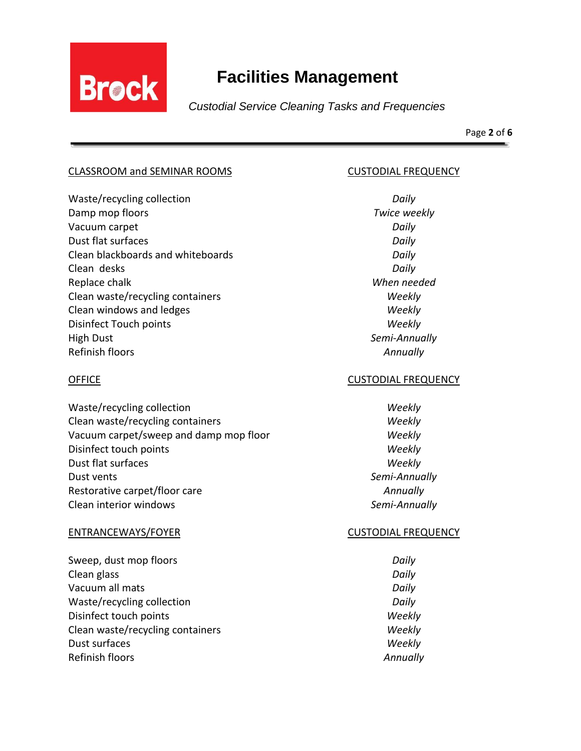

Page **2** of **6**

## CLASSROOM and SEMINAR ROOMS CUSTODIAL FREQUENCY

Waste/recycling collection *Daily* Damp mop floors *Twice weekly* Vacuum carpet *Daily* Dust flat surfaces *Daily* Clean blackboards and whiteboards *Daily* Clean desks *Daily* Replace chalk *When needed* Clean waste/recycling containers *Weekly* Clean windows and ledges *Weekly* Disinfect Touch points *Weekly* High Dust *Semi-Annually* Refinish floors *Annually*

Waste/recycling collection *Weekly* Clean waste/recycling containers *Weekly* Vacuum carpet/sweep and damp mop floor *Weekly* Disinfect touch points *Weekly* Dust flat surfaces *Weekly* Dust vents *Semi-Annually* Restorative carpet/floor care *Annually* Clean interior windows *Semi-Annually*

### ENTRANCEWAYS/FOYER CUSTODIAL FREQUENCY

Sweep, dust mop floors *Daily* Clean glass *Daily* Vacuum all mats *Daily* Waste/recycling collection *Daily* Disinfect touch points *Weekly* Clean waste/recycling containers *Weekly* Dust surfaces *Weekly* Refinish floors *Annually*

## OFFICE CUSTODIAL FREQUENCY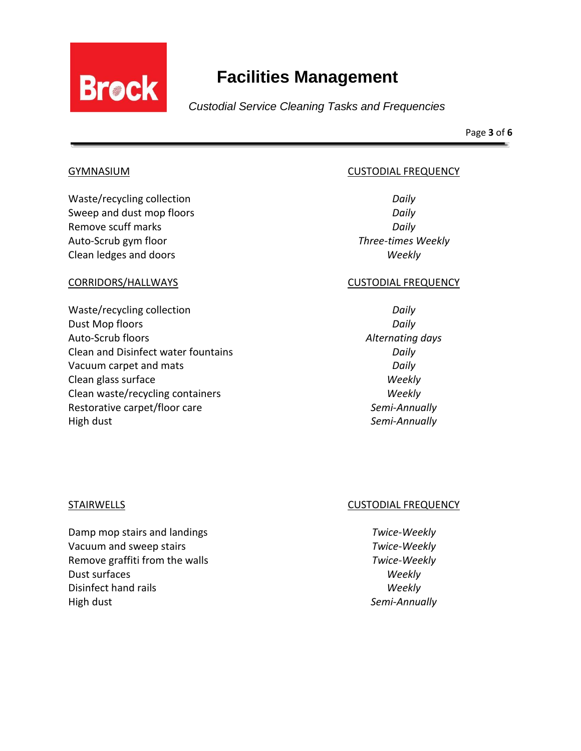

Page **3** of **6**

Waste/recycling collection *Daily* Sweep and dust mop floors *Daily* Remove scuff marks *Daily* Auto-Scrub gym floor *Three-times Weekly* Clean ledges and doors *Weekly*

Waste/recycling collection *Daily* Dust Mop floors *Daily* Auto-Scrub floors *Alternating days* Clean and Disinfect water fountains *Daily*  Vacuum carpet and mats *Daily* Clean glass surface *Weekly* Clean waste/recycling containers *Weekly* Restorative carpet/floor care *Semi-Annually* High dust *Semi-Annually*

## GYMNASIUM CUSTODIAL FREQUENCY

### CORRIDORS/HALLWAYS CUSTODIAL FREQUENCY

Damp mop stairs and landings *Twice-Weekly* Vacuum and sweep stairs *Twice-Weekly* Remove graffiti from the walls *Twice-Weekly* Dust surfaces *Weekly* Disinfect hand rails *Weekly* High dust *Semi-Annually*

# STAIRWELLS **CUSTODIAL FREQUENCY**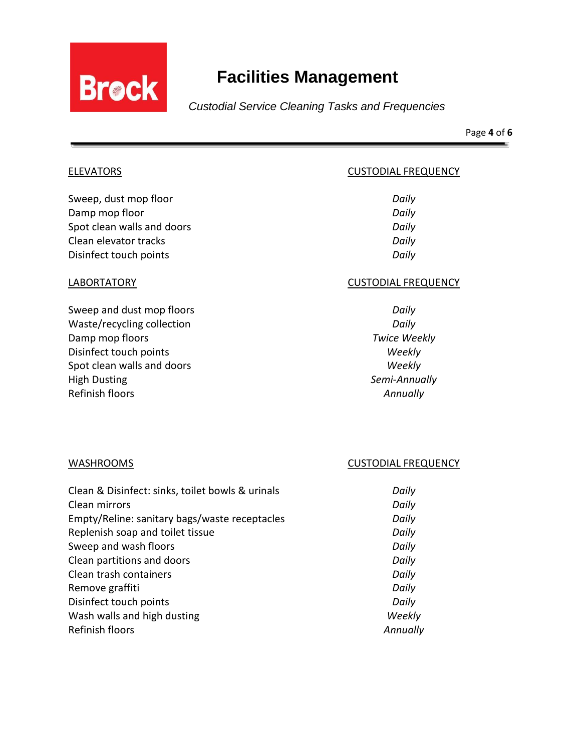

Page **4** of **6**

ELEVATORS **ELEVATORS CUSTODIAL FREQUENCY** 

Sweep, dust mop floor *Daily* Damp mop floor *Daily* Spot clean walls and doors **Daily Daily** Clean elevator tracks *Daily* Disinfect touch points *Daily*

Sweep and dust mop floors *Daily* Waste/recycling collection *Daily* Damp mop floors *Twice Weekly* Disinfect touch points *Weekly* Spot clean walls and doors *Weekly* High Dusting *Semi-Annually* Refinish floors *Annually*

## LABORTATORY CUSTODIAL FREQUENCY

### WASHROOMS WASHROOMS CUSTODIAL FREQUENCY

| Clean & Disinfect: sinks, toilet bowls & urinals | Daily    |
|--------------------------------------------------|----------|
| Clean mirrors                                    | Daily    |
| Empty/Reline: sanitary bags/waste receptacles    | Daily    |
| Replenish soap and toilet tissue                 | Daily    |
| Sweep and wash floors                            | Daily    |
| Clean partitions and doors                       | Daily    |
| Clean trash containers                           | Daily    |
| Remove graffiti                                  | Daily    |
| Disinfect touch points                           | Daily    |
| Wash walls and high dusting                      | Weekly   |
| Refinish floors                                  | Annually |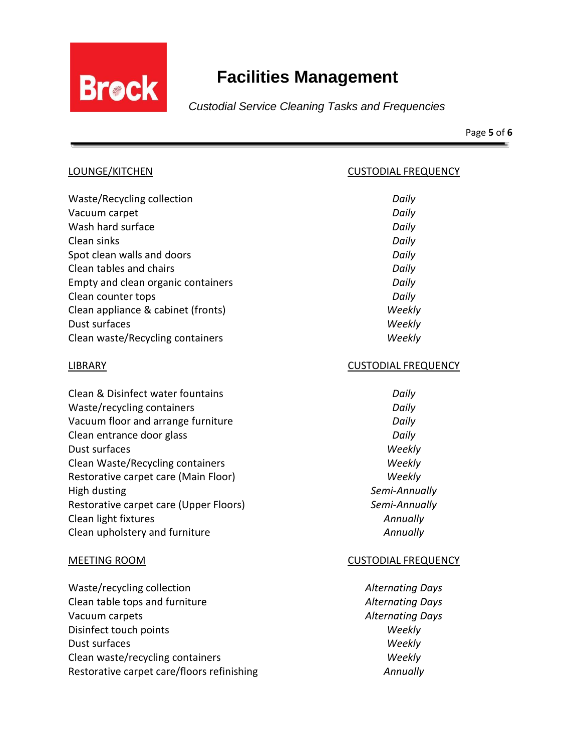

Page **5** of **6**

| LOUNGE/KITCHEN                         | <b>CUSTODIAL FREQUENCY</b> |
|----------------------------------------|----------------------------|
| Waste/Recycling collection             | Daily                      |
| Vacuum carpet                          | Daily                      |
| Wash hard surface                      | Daily                      |
| Clean sinks                            | Daily                      |
| Spot clean walls and doors             | Daily                      |
| Clean tables and chairs                | Daily                      |
| Empty and clean organic containers     | Daily                      |
| Clean counter tops                     | Daily                      |
| Clean appliance & cabinet (fronts)     | Weekly                     |
| Dust surfaces                          | Weekly                     |
| Clean waste/Recycling containers       | Weekly                     |
| <b>LIBRARY</b>                         | <b>CUSTODIAL FREQUENCY</b> |
| Clean & Disinfect water fountains      | Daily                      |
| Waste/recycling containers             | Daily                      |
| Vacuum floor and arrange furniture     | Daily                      |
| Clean entrance door glass              | Daily                      |
| Dust surfaces                          | Weekly                     |
| Clean Waste/Recycling containers       | Weekly                     |
| Restorative carpet care (Main Floor)   | Weekly                     |
| <b>High dusting</b>                    | Semi-Annually              |
| Restorative carpet care (Upper Floors) | Semi-Annually              |
| Clean light fixtures                   | Annually                   |
| Clean upholstery and furniture         | Annually                   |
| <b>MEETING ROOM</b>                    | <b>CUSTODIAL FREQUENCY</b> |
| Waste/recycling collection             | <b>Alternating Days</b>    |
| Clean table tops and furniture         | <b>Alternating Days</b>    |
| Vacuum carpets                         | <b>Alternating Days</b>    |
| Disinfect touch points                 | Weekly                     |
| Dust surfaces                          | Weekly                     |

Clean waste/recycling containers *Weekly* Restorative carpet care/floors refinishing *Annually*